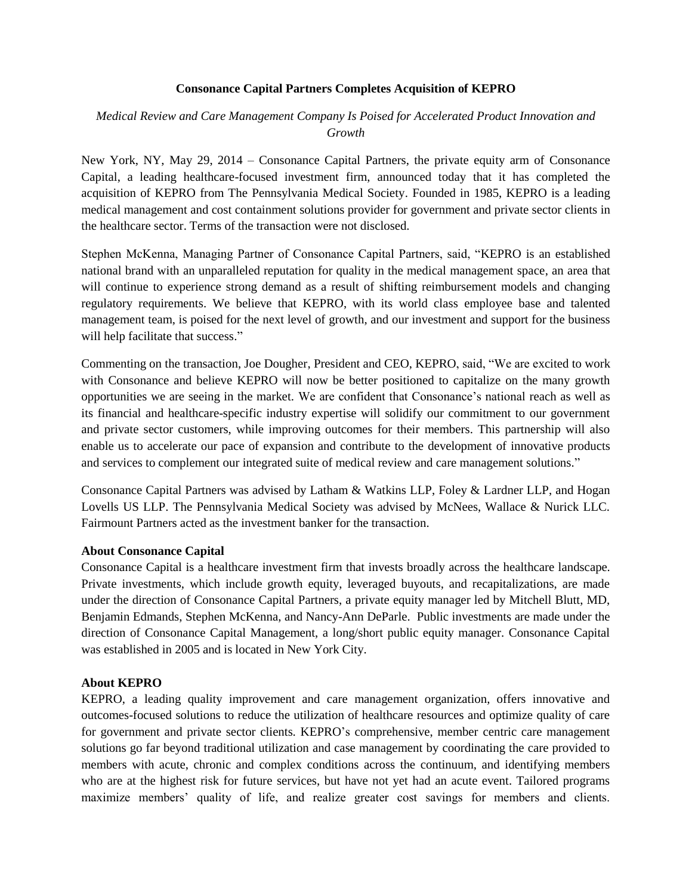### **Consonance Capital Partners Completes Acquisition of KEPRO**

# *Medical Review and Care Management Company Is Poised for Accelerated Product Innovation and Growth*

New York, NY, May 29, 2014 – Consonance Capital Partners, the private equity arm of Consonance Capital, a leading healthcare-focused investment firm, announced today that it has completed the acquisition of KEPRO from The Pennsylvania Medical Society. Founded in 1985, KEPRO is a leading medical management and cost containment solutions provider for government and private sector clients in the healthcare sector. Terms of the transaction were not disclosed.

Stephen McKenna, Managing Partner of Consonance Capital Partners, said, "KEPRO is an established national brand with an unparalleled reputation for quality in the medical management space, an area that will continue to experience strong demand as a result of shifting reimbursement models and changing regulatory requirements. We believe that KEPRO, with its world class employee base and talented management team, is poised for the next level of growth, and our investment and support for the business will help facilitate that success."

Commenting on the transaction, Joe Dougher, President and CEO, KEPRO, said, "We are excited to work with Consonance and believe KEPRO will now be better positioned to capitalize on the many growth opportunities we are seeing in the market. We are confident that Consonance's national reach as well as its financial and healthcare-specific industry expertise will solidify our commitment to our government and private sector customers, while improving outcomes for their members. This partnership will also enable us to accelerate our pace of expansion and contribute to the development of innovative products and services to complement our integrated suite of medical review and care management solutions."

Consonance Capital Partners was advised by Latham & Watkins LLP, Foley & Lardner LLP, and Hogan Lovells US LLP. The Pennsylvania Medical Society was advised by McNees, Wallace & Nurick LLC. Fairmount Partners acted as the investment banker for the transaction.

### **About Consonance Capital**

Consonance Capital is a healthcare investment firm that invests broadly across the healthcare landscape. Private investments, which include growth equity, leveraged buyouts, and recapitalizations, are made under the direction of Consonance Capital Partners, a private equity manager led by Mitchell Blutt, MD, Benjamin Edmands, Stephen McKenna, and Nancy-Ann DeParle. Public investments are made under the direction of Consonance Capital Management, a long/short public equity manager. Consonance Capital was established in 2005 and is located in New York City.

#### **About KEPRO**

KEPRO, a leading quality improvement and care management organization, offers innovative and outcomes-focused solutions to reduce the utilization of healthcare resources and optimize quality of care for government and private sector clients. KEPRO's comprehensive, member centric care management solutions go far beyond traditional utilization and case management by coordinating the care provided to members with acute, chronic and complex conditions across the continuum, and identifying members who are at the highest risk for future services, but have not yet had an acute event. Tailored programs maximize members' quality of life, and realize greater cost savings for members and clients.